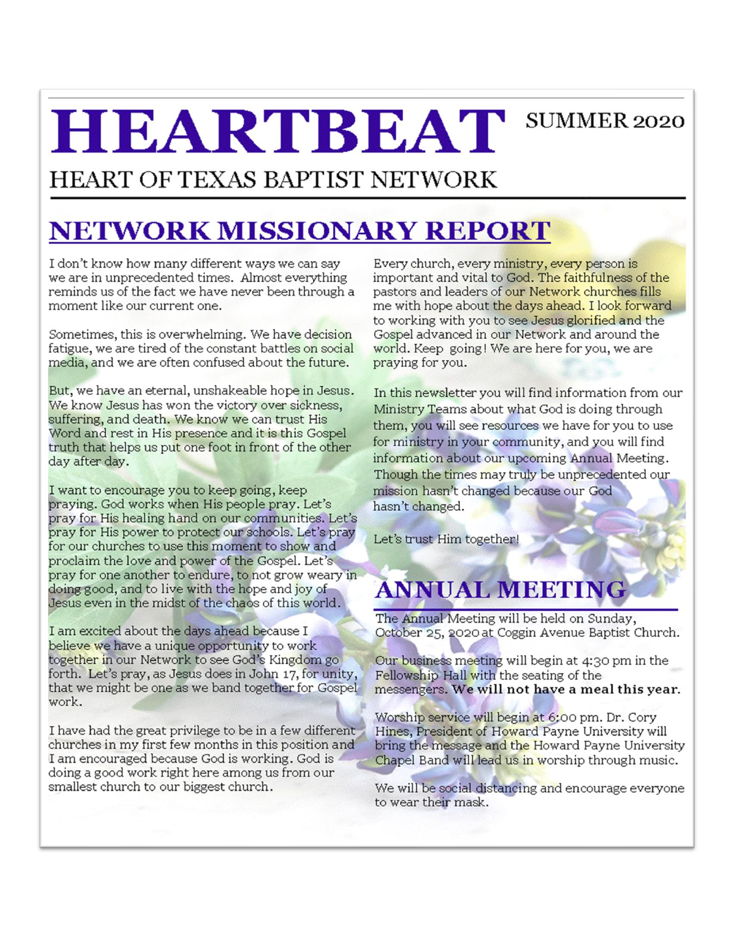# **HEARTBEAT** SUMMER 2020

### HEART OF TEXAS BAPTIST NETWORK

# **NETWORK MISSIONARY REPORT**

I don't know how many different ways we can say we are in unprecedented times. Almost everything reminds us of the fact we have never been through a moment like our current one.

Sometimes, this is overwhelming. We have decision fatigue, we are tired of the constant battles on social media, and we are often confused about the future.

But, we have an eternal, unshakeable hope in Jesus. We know Jesus has won the victory over sickness, suffering, and death. We know we can trust His Word and rest in His presence and it is this Gospel truth that helps us put one foot in front of the other day after day.

I want to encourage you to keep going, keep praying. God works when His people pray. Let's pray for His healing hand on our communities. Let's pray for His power to protect our schools. Let's pray for our churches to use this moment to show and proclaim the love and power of the Gospel. Let's pray for one another to endure, to not grow weary in doing good, and to live with the hope and joy of Jesus even in the midst of the chaos of this world.

I am excited about the days ahead because I believe we have a unique opportunity to work together in our Network to see God's Kingdom go forth. Let's pray, as Jesus does in John 17, for unity, that we might be one as we band together for Gospel work.

I have had the great privilege to be in a few different churches in my first few months in this position and I am encouraged because God is working. God is doing a good work right here among us from our smallest church to our biggest church.

Every church, every ministry, every person is important and vital to God. The faithfulness of the pastors and leaders of our Network churches fills me with hope about the days ahead. I look forward to working with you to see Jesus glorified and the Gospel advanced in our Network and around the world. Keep going! We are here for you, we are praying for you.

In this newsletter you will find information from our Ministry Teams about what God is doing through them, you will see resources we have for you to use for ministry in your community, and you will find information about our upcoming Annual Meeting. Though the times may truly be unprecedented our mission hasn't changed because our God hasn't changed.

Let's trust Him together!

# **ANNUAL MEETING**

The Annual Meeting will be held on Sunday, October 25, 2020 at Coggin Avenue Baptist Church.

Our business meeting will begin at 4:30 pm in the Fellowship Hall with the seating of the messengers. We will not have a meal this year.

Worship service will begin at 6:00 pm. Dr. Cory Hines, President of Howard Payne University will bring the message and the Howard Payne University Chapel Band will lead us in worship through music.

We will be social distancing and encourage everyone to wear their mask.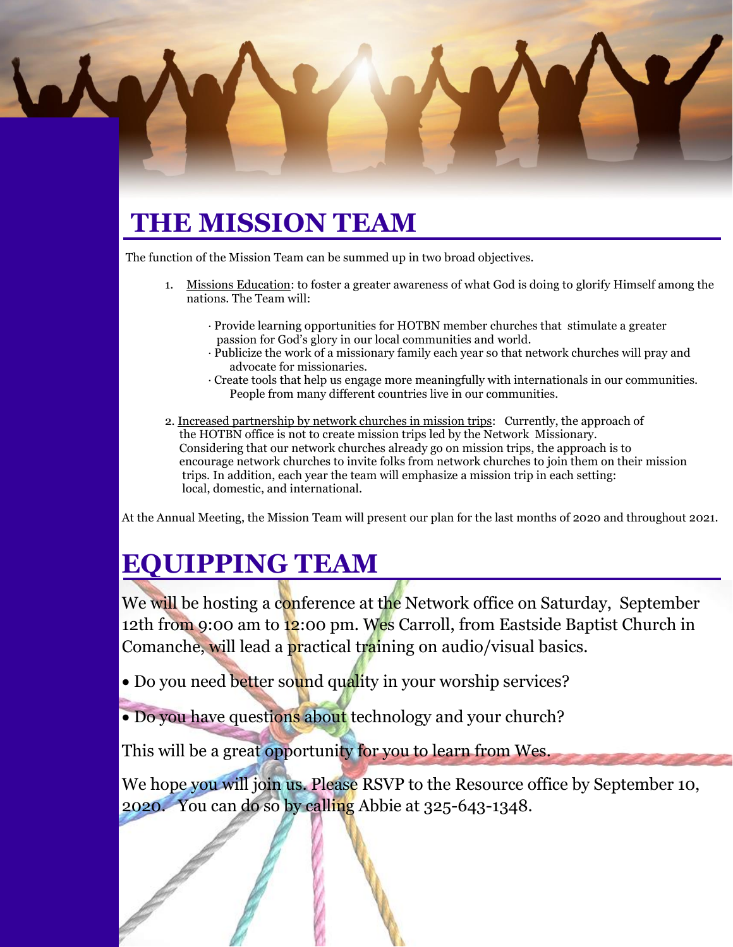# **THE MISSION TEAM**

The function of the Mission Team can be summed up in two broad objectives.

- 1. Missions Education: to foster a greater awareness of what God is doing to glorify Himself among the nations. The Team will:
	- · Provide learning opportunities for HOTBN member churches that stimulate a greater passion for God's glory in our local communities and world.
	- · Publicize the work of a missionary family each year so that network churches will pray and advocate for missionaries.
	- · Create tools that help us engage more meaningfully with internationals in our communities. People from many different countries live in our communities.
- 2. Increased partnership by network churches in mission trips: Currently, the approach of the HOTBN office is not to create mission trips led by the Network Missionary. Considering that our network churches already go on mission trips, the approach is to encourage network churches to invite folks from network churches to join them on their mission trips. In addition, each year the team will emphasize a mission trip in each setting: local, domestic, and international.

At the Annual Meeting, the Mission Team will present our plan for the last months of 2020 and throughout 2021.

# **EQUIPPING TEAM**

We will be hosting a conference at the Network office on Saturday, September 12th from 9:00 am to 12:00 pm. Wes Carroll, from Eastside Baptist Church in Comanche, will lead a practical training on audio/visual basics.

• Do you need better sound quality in your worship services?

• Do you have questions about technology and your church?

This will be a great opportunity for you to learn from Wes.

We hope you will join us. Please RSVP to the Resource office by September 10, 2020. You can do so by calling Abbie at 325-643-1348.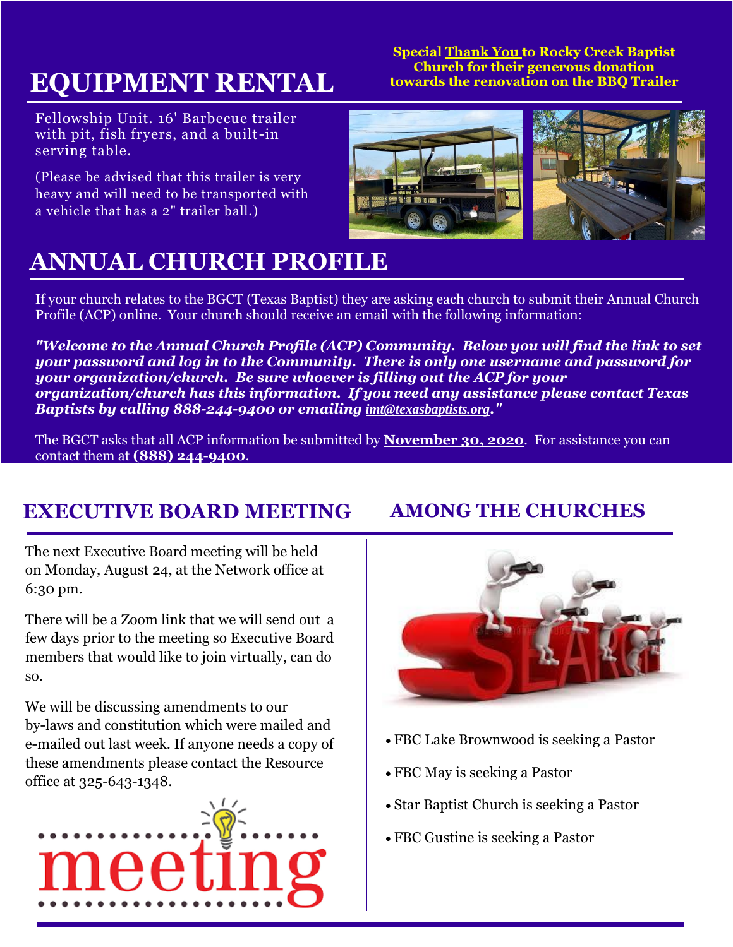# **EQUIPMENT RENTAL**

Fellowship Unit. 16' Barbecue trailer with pit, fish fryers, and a built-in serving table.

(Please be advised that this trailer is very heavy and will need to be transported with a vehicle that has a 2" trailer ball.)

**Special Thank You to Rocky Creek Baptist Church for their generous donation towards the renovation on the BBQ Trailer**



## **ANNUAL CHURCH PROFILE**

If your church relates to the BGCT (Texas Baptist) they are asking each church to submit their Annual Church Profile (ACP) online. Your church should receive an email with the following information:

*"Welcome to the Annual Church Profile (ACP) Community. Below you will find the link to set your password and log in to the Community. There is only one username and password for your organization/church. Be sure whoever is filling out the ACP for your organization/church has this information. If you need any assistance please contact Texas Baptists by calling 888-244-9400 or emailing [imt@texasbaptists.org](mailto:imt@texasbaptists.org)."*

The BGCT asks that all ACP information be submitted by **November 30, 2020**. For assistance you can contact them at **(888) 244-9400**.

#### **EXECUTIVE BOARD MEETING AMONG THE CHURCHES**

The next Executive Board meeting will be held on Monday, August 24, at the Network office at 6:30 pm.

There will be a Zoom link that we will send out a few days prior to the meeting so Executive Board members that would like to join virtually, can do so.

We will be discussing amendments to our by-laws and constitution which were mailed and e-mailed out last week. If anyone needs a copy of these amendments please contact the Resource office at 325-643-1348.





- FBC Lake Brownwood is seeking a Pastor
- FBC May is seeking a Pastor
- Star Baptist Church is seeking a Pastor
- FBC Gustine is seeking a Pastor